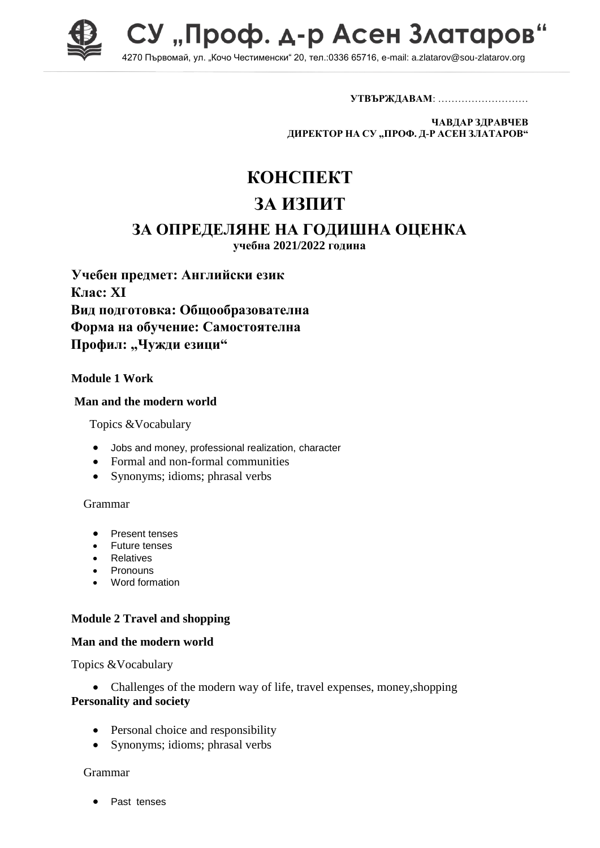

СУ "Проф. д-р Асен Златаров 4270 Първомай, ул. "Кочо Честименски" 20, тел.:0336 65716, e-mail: a.zlatarov@sou-zlatarov.org

**УТВЪРЖДАВАМ**: ………………………

**ЧАВДАР ЗДРАВЧЕВ ДИРЕКТОР НА СУ "ПРОФ. Д-Р АСЕН ЗЛАТАРОВ"**

# **КОНСПЕКТ**

## **ЗА ИЗПИТ**

## **ЗА ОПРЕДЕЛЯНЕ НА ГОДИШНА ОЦЕНКА**

**учебна 2021/2022 година**

**Учебен предмет: Английски език Клас: XI Вид подготовка: Общообразователна Форма на обучение: Самостоятелна** Профил: "Чужди езици"

## **Module 1 Work**

#### **Man and the modern world**

Topics &Vocabulary

- Jobs and money, professional realization, character
- Formal and non-formal communities
- Synonyms; idioms; phrasal verbs

#### Grammar

- Present tenses
- Future tenses
- Relatives
- Pronouns
- Word formation

## **Module 2 Travel and shopping**

#### **Man and the modern world**

Topics &Vocabulary

• Challenges of the modern way of life, travel expenses, money, shopping **Personality and society**

- Personal choice and responsibility
- Synonyms; idioms; phrasal verbs

#### Grammar

• Past tenses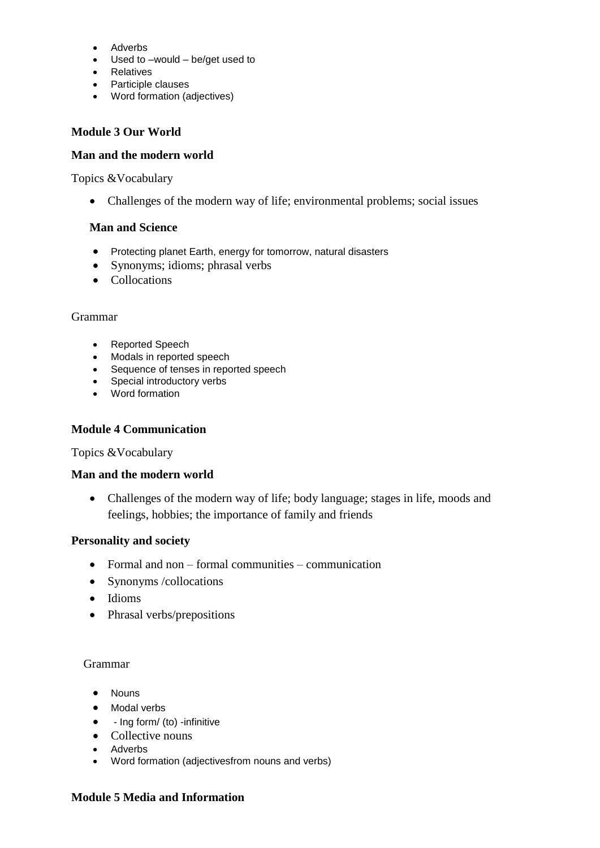- Adverbs
- Used to –would be/get used to
- Relatives
- Participle clauses
- Word formation (adjectives)

#### **Module 3 Our World**

#### **Man and the modern world**

Topics &Vocabulary

Challenges of the modern way of life; environmental problems; social issues

#### **Man and Science**

- Protecting planet Earth, energy for tomorrow, natural disasters
- Synonyms; idioms; phrasal verbs
- Collocations

#### Grammar

- Reported Speech
- Modals in reported speech
- Sequence of tenses in reported speech
- Special introductory verbs
- Word formation

#### **Module 4 Communication**

#### Topics &Vocabulary

#### **Man and the modern world**

• Challenges of the modern way of life; body language; stages in life, moods and feelings, hobbies; the importance of family and friends

#### **Personality and society**

- Formal and non formal communities communication
- Synonyms /collocations
- Idioms
- Phrasal verbs/prepositions

#### Grammar

- Nouns
- Modal verbs
- $\bullet$  Ing form/ (to) -infinitive
- Collective nouns
- Adverbs
- Word formation (adjectivesfrom nouns and verbs)

#### **Module 5 Media and Information**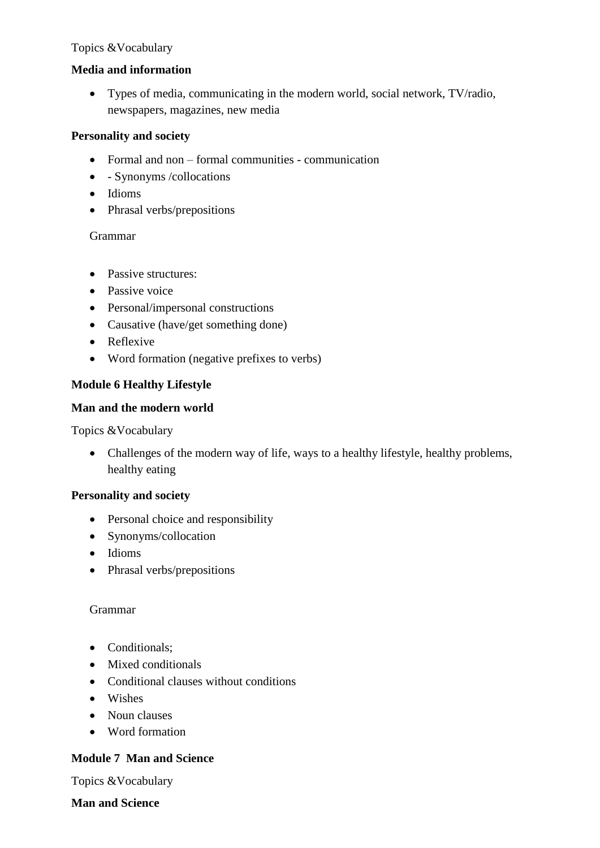## Topics &Vocabulary

## **Media and information**

 Types of media, communicating in the modern world, social network, TV/radio, newspapers, magazines, new media

## **Personality and society**

- Formal and non formal communities communication
- - Synonyms /collocations
- Idioms
- Phrasal verbs/prepositions

### Grammar

- Passive structures:
- Passive voice
- Personal/impersonal constructions
- Causative (have/get something done)
- Reflexive
- Word formation (negative prefixes to verbs)

## **Module 6 Healthy Lifestyle**

## **Man and the modern world**

Topics &Vocabulary

 Challenges of the modern way of life, ways to a healthy lifestyle, healthy problems, healthy eating

## **Personality and society**

- Personal choice and responsibility
- Synonyms/collocation
- Idioms
- Phrasal verbs/prepositions

#### Grammar

- Conditionals:
- Mixed conditionals
- Conditional clauses without conditions
- Wishes
- Noun clauses
- Word formation

## **Module 7 Man and Science**

Topics &Vocabulary

**Man and Science**